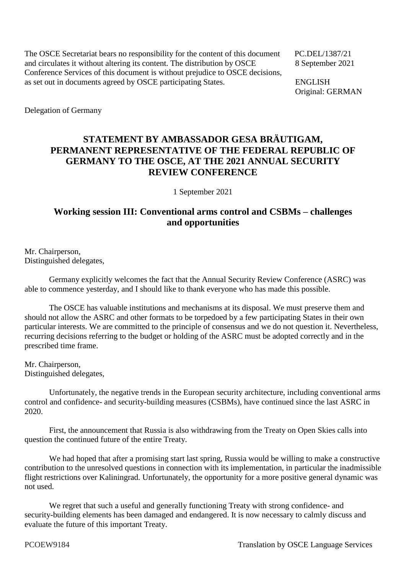The OSCE Secretariat bears no responsibility for the content of this document PC.DEL/1387/21 and circulates it without altering its content. The distribution by OSCE 8 September 2021 Conference Services of this document is without prejudice to OSCE decisions, as set out in documents agreed by OSCE participating States. ENGLISH

Original: GERMAN

Delegation of Germany

## **STATEMENT BY AMBASSADOR GESA BRÄUTIGAM, PERMANENT REPRESENTATIVE OF THE FEDERAL REPUBLIC OF GERMANY TO THE OSCE, AT THE 2021 ANNUAL SECURITY REVIEW CONFERENCE**

1 September 2021

## **Working session III: Conventional arms control and CSBMs – challenges and opportunities**

Mr. Chairperson, Distinguished delegates,

Germany explicitly welcomes the fact that the Annual Security Review Conference (ASRC) was able to commence yesterday, and I should like to thank everyone who has made this possible.

The OSCE has valuable institutions and mechanisms at its disposal. We must preserve them and should not allow the ASRC and other formats to be torpedoed by a few participating States in their own particular interests. We are committed to the principle of consensus and we do not question it. Nevertheless, recurring decisions referring to the budget or holding of the ASRC must be adopted correctly and in the prescribed time frame.

Mr. Chairperson, Distinguished delegates,

Unfortunately, the negative trends in the European security architecture, including conventional arms control and confidence- and security-building measures (CSBMs), have continued since the last ASRC in 2020.

First, the announcement that Russia is also withdrawing from the Treaty on Open Skies calls into question the continued future of the entire Treaty.

We had hoped that after a promising start last spring, Russia would be willing to make a constructive contribution to the unresolved questions in connection with its implementation, in particular the inadmissible flight restrictions over Kaliningrad. Unfortunately, the opportunity for a more positive general dynamic was not used.

We regret that such a useful and generally functioning Treaty with strong confidence- and security-building elements has been damaged and endangered. It is now necessary to calmly discuss and evaluate the future of this important Treaty.